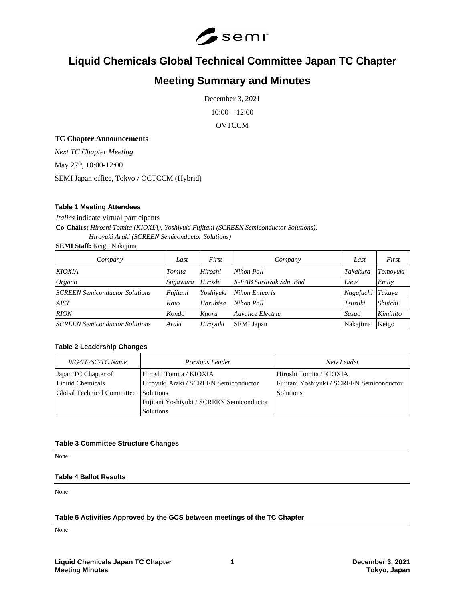

# **Liquid Chemicals Global Technical Committee Japan TC Chapter**

# **Meeting Summary and Minutes**

December 3, 2021

10:00 – 12:00

**OVTCCM** 

# **TC Chapter Announcements**

*Next TC Chapter Meeting*

May 27<sup>th</sup>, 10:00-12:00

SEMI Japan office, Tokyo / OCTCCM (Hybrid)

# **Table 1 Meeting Attendees**

*Italics* indicate virtual participants **Co-Chairs:** *Hiroshi Tomita (KIOXIA), Yoshiyuki Fujitani (SCREEN Semiconductor Solutions),*

*Hiroyuki Araki (SCREEN Semiconductor Solutions)*

**SEMI Staff:** Keigo Nakajima

| Company                               | Last     | First     | Company                | Last      | First    |
|---------------------------------------|----------|-----------|------------------------|-----------|----------|
| <b>KIOXIA</b>                         | Tomita   | Hiroshi   | Nihon Pall             | Takakura  | Tomoyuki |
| Organo                                | Sugawara | Hiroshi   | X-FAB Sarawak Sdn. Bhd | Liew      | Emily    |
| <b>SCREEN Semiconductor Solutions</b> | Fujitani | Yoshivuki | <b>Nihon Entegris</b>  | Nagafuchi | Takuva   |
| <b>AIST</b>                           | Kato     | Haruhisa  | Nihon Pall             | Tsuzuki   | Shuichi  |
| <b>RION</b>                           | Kondo    | Kaoru     | Advance Electric       | Sasao     | Kimihito |
| <b>SCREEN Semiconductor Solutions</b> | Araki    | Hirovuki  | <b>SEMI</b> Japan      | Nakajima  | Keigo    |

## **Table 2 Leadership Changes**

| WG/TF/SC/TC Name           | Previous Leader                           | New Leader                                |
|----------------------------|-------------------------------------------|-------------------------------------------|
| Japan TC Chapter of        | Hiroshi Tomita / KIOXIA                   | Hiroshi Tomita / KIOXIA                   |
| Liquid Chemicals           | Hiroyuki Araki / SCREEN Semiconductor     | Fujitani Yoshiyuki / SCREEN Semiconductor |
| Global Technical Committee | Solutions                                 | <b>Solutions</b>                          |
|                            | Fujitani Yoshiyuki / SCREEN Semiconductor |                                           |
|                            | Solutions                                 |                                           |

# **Table 3 Committee Structure Changes**

None

## **Table 4 Ballot Results**

None

## **Table 5 Activities Approved by the GCS between meetings of the TC Chapter**

None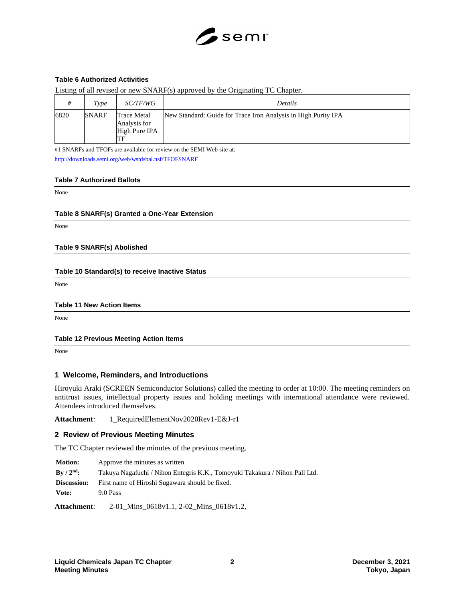

# **Table 6 Authorized Activities**

Listing of all revised or new SNARF(s) approved by the Originating TC Chapter.

|      | Type         | <i>SC/TF/WG</i>                                           | Details                                                        |
|------|--------------|-----------------------------------------------------------|----------------------------------------------------------------|
| 6820 | <b>SNARF</b> | <b>Trace Metal</b><br>Analysis for<br>High Pure IPA<br>TF | New Standard: Guide for Trace Iron Analysis in High Purity IPA |

#1 SNARFs and TFOFs are available for review on the SEMI Web site at: <http://downloads.semi.org/web/wstdsbal.nsf/TFOFSNARF>

#### **Table 7 Authorized Ballots**

None

#### **Table 8 SNARF(s) Granted a One-Year Extension**

None

#### **Table 9 SNARF(s) Abolished**

#### **Table 10 Standard(s) to receive Inactive Status**

None

## **Table 11 New Action Items**

None

#### **Table 12 Previous Meeting Action Items**

None

## **1 Welcome, Reminders, and Introductions**

Hiroyuki Araki (SCREEN Semiconductor Solutions) called the meeting to order at 10:00. The meeting reminders on antitrust issues, intellectual property issues and holding meetings with international attendance were reviewed. Attendees introduced themselves.

**Attachment**: 1\_RequiredElementNov2020Rev1-E&J-r1

## **2 Review of Previous Meeting Minutes**

The TC Chapter reviewed the minutes of the previous meeting.

| <b>Motion:</b>                       | Approve the minutes as written                                              |  |
|--------------------------------------|-----------------------------------------------------------------------------|--|
| $\rm\,By\,$ / $\rm 2^{nd}\mathbf{:}$ | Takuya Nagafuchi / Nihon Entegris K.K., Tomoyuki Takakura / Nihon Pall Ltd. |  |
| Discussion:                          | First name of Hiroshi Sugawara should be fixed.                             |  |
| Vote:                                | $9:0$ Pass                                                                  |  |
| <b>Attachment:</b>                   | 2-01 Mins 0618v1.1, 2-02 Mins 0618v1.2,                                     |  |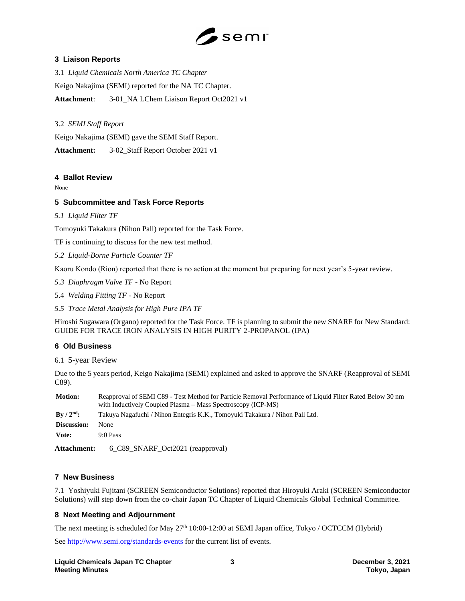

# **3 Liaison Reports**

3.1 *Liquid Chemicals North America TC Chapter* Keigo Nakajima (SEMI) reported for the NA TC Chapter. **Attachment**: 3-01\_NA LChem Liaison Report Oct2021 v1

# 3.2 *SEMI Staff Report*

Keigo Nakajima (SEMI) gave the SEMI Staff Report.

**Attachment:** 3-02\_Staff Report October 2021 v1

# **4 Ballot Review**

None

# **5 Subcommittee and Task Force Reports**

# *5.1 Liquid Filter TF*

Tomoyuki Takakura (Nihon Pall) reported for the Task Force.

TF is continuing to discuss for the new test method.

*5.2 Liquid-Borne Particle Counter TF*

Kaoru Kondo (Rion) reported that there is no action at the moment but preparing for next year's 5-year review.

- *5.3 Diaphragm Valve TF* No Report
- 5.4 *Welding Fitting TF*  No Report
- *5.5 Trace Metal Analysis for High Pure IPA TF*

Hiroshi Sugawara (Organo) reported for the Task Force. TF is planning to submit the new SNARF for New Standard: GUIDE FOR TRACE IRON ANALYSIS IN HIGH PURITY 2-PROPANOL (IPA)

# **6 Old Business**

6.1 5-year Review

Due to the 5 years period, Keigo Nakajima (SEMI) explained and asked to approve the SNARF (Reapproval of SEMI C89).

| <b>Motion:</b>                    | Reapproval of SEMI C89 - Test Method for Particle Removal Performance of Liquid Filter Rated Below 30 nm<br>with Inductively Coupled Plasma – Mass Spectroscopy (ICP-MS) |
|-----------------------------------|--------------------------------------------------------------------------------------------------------------------------------------------------------------------------|
| $\rm\,By\,$ / $\rm 2^{nd}\rm\,$ : | Takuya Nagafuchi / Nihon Entegris K.K., Tomoyuki Takakura / Nihon Pall Ltd.                                                                                              |
| Discussion:                       | <b>None</b>                                                                                                                                                              |
| Vote:                             | $9:0$ Pass                                                                                                                                                               |
|                                   |                                                                                                                                                                          |

**Attachment:** 6\_C89\_SNARF\_Oct2021 (reapproval)

# **7 New Business**

7.1 Yoshiyuki Fujitani (SCREEN Semiconductor Solutions) reported that Hiroyuki Araki (SCREEN Semiconductor Solutions) will step down from the co-chair Japan TC Chapter of Liquid Chemicals Global Technical Committee.

# **8 Next Meeting and Adjournment**

The next meeting is scheduled for May 27<sup>th</sup> 10:00-12:00 at SEMI Japan office, Tokyo / OCTCCM (Hybrid)

See<http://www.semi.org/standards-events> for the current list of events.